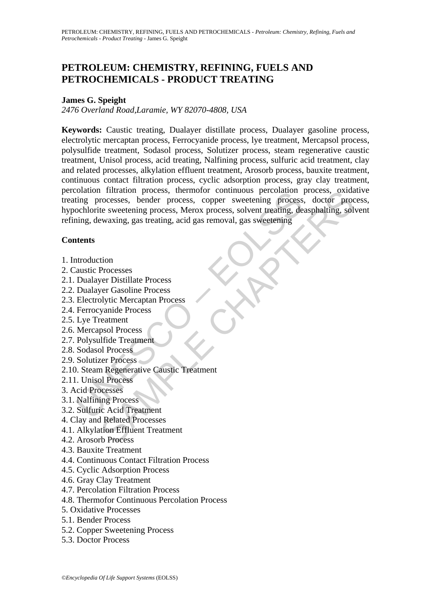# **PETROLEUM: CHEMISTRY, REFINING, FUELS AND PETROCHEMICALS - PRODUCT TREATING**

#### **James G. Speight**

*2476 Overland Road,Laramie, WY 82070-4808, USA* 

Following process, benefit process, control continuous percoration<br>ting processes, benefit process, copper sweetening process<br>cochlorite sweetening process, Nerox process, colvent treating, de<br>hing, dewaxing, gas treating, Intranon process, thermorro continuous percolation<br>rocesses, bender process, corper sweetening process, oxida<br>recesses, bonder process, corper sweetening process, actor process<br>te sweetening process, Merox process, solvent **Keywords:** Caustic treating, Dualayer distillate process, Dualayer gasoline process, electrolytic mercaptan process, Ferrocyanide process, lye treatment, Mercapsol process, polysulfide treatment, Sodasol process, Solutizer process, steam regenerative caustic treatment, Unisol process, acid treating, Nalfining process, sulfuric acid treatment, clay and related processes, alkylation effluent treatment, Arosorb process, bauxite treatment, continuous contact filtration process, cyclic adsorption process, gray clay treatment, percolation filtration process, thermofor continuous percolation process, oxidative treating processes, bender process, copper sweetening process, doctor process, hypochlorite sweetening process, Merox process, solvent treating, deasphalting, solvent refining, dewaxing, gas treating, acid gas removal, gas sweetening

## **Contents**

- 1. Introduction
- 2. Caustic Processes
- 2.1. Dualayer Distillate Process
- 2.2. Dualayer Gasoline Process
- 2.3. Electrolytic Mercaptan Process
- 2.4. Ferrocyanide Process
- 2.5. Lye Treatment
- 2.6. Mercapsol Process
- 2.7. Polysulfide Treatment
- 2.8. Sodasol Process
- 2.9. Solutizer Process
- 2.10. Steam Regenerative Caustic Treatment
- 2.11. Unisol Process
- 3. Acid Processes
- 3.1. Nalfining Process
- 3.2. Sulfuric Acid Treatment
- 4. Clay and Related Processes
- 4.1. Alkylation Effluent Treatment
- 4.2. Arosorb Process
- 4.3. Bauxite Treatment
- 4.4. Continuous Contact Filtration Process
- 4.5. Cyclic Adsorption Process
- 4.6. Gray Clay Treatment
- 4.7. Percolation Filtration Process
- 4.8. Thermofor Continuous Percolation Process
- 5. Oxidative Processes
- 5.1. Bender Process
- 5.2. Copper Sweetening Process
- 5.3. Doctor Process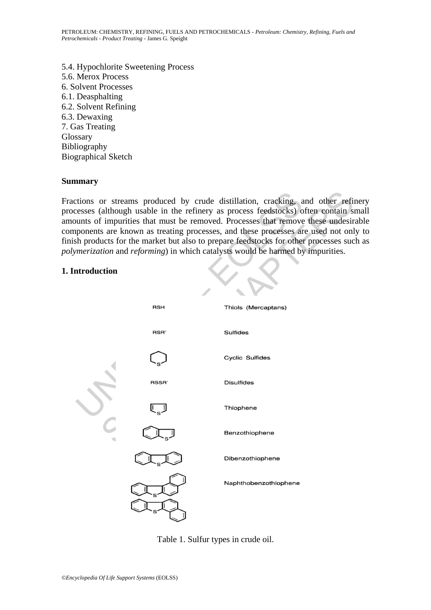5.4. Hypochlorite Sweetening Process 5.6. Merox Process 6. Solvent Processes 6.1. Deasphalting 6.2. Solvent Refining 6.3. Dewaxing 7. Gas Treating Glossary Bibliography Biographical Sketch

#### **Summary**

Fractions or streams produced by crude distillation, cracking, and other refinery processes (although usable in the refinery as process feedstocks) often contain small amounts of impurities that must be removed. Processes that remove these undesirable components are known as treating processes, and these processes are used not only to finish products for the market but also to prepare feedstocks for other processes such as *polymerization* and *reforming*) in which catalysts would be harmed by impurities.

## **1. Introduction**



Table 1. Sulfur types in crude oil.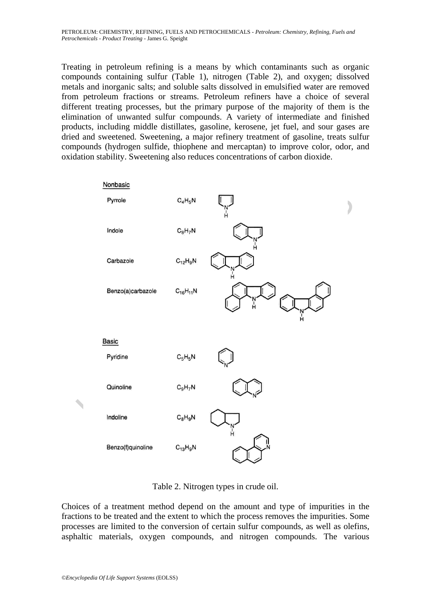Treating in petroleum refining is a means by which contaminants such as organic compounds containing sulfur (Table 1), nitrogen (Table 2), and oxygen; dissolved metals and inorganic salts; and soluble salts dissolved in emulsified water are removed from petroleum fractions or streams. Petroleum refiners have a choice of several different treating processes, but the primary purpose of the majority of them is the elimination of unwanted sulfur compounds. A variety of intermediate and finished products, including middle distillates, gasoline, kerosene, jet fuel, and sour gases are dried and sweetened. Sweetening, a major refinery treatment of gasoline, treats sulfur compounds (hydrogen sulfide, thiophene and mercaptan) to improve color, odor, and oxidation stability. Sweetening also reduces concentrations of carbon dioxide.



Table 2. Nitrogen types in crude oil.

Choices of a treatment method depend on the amount and type of impurities in the fractions to be treated and the extent to which the process removes the impurities. Some processes are limited to the conversion of certain sulfur compounds, as well as olefins, asphaltic materials, oxygen compounds, and nitrogen compounds. The various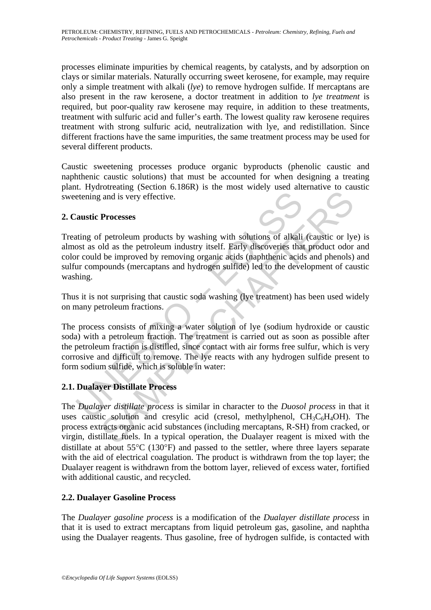processes eliminate impurities by chemical reagents, by catalysts, and by adsorption on clays or similar materials. Naturally occurring sweet kerosene, for example, may require only a simple treatment with alkali (*lye*) to remove hydrogen sulfide. If mercaptans are also present in the raw kerosene, a doctor treatment in addition to *lye treatment* is required, but poor-quality raw kerosene may require, in addition to these treatments, treatment with sulfuric acid and fuller's earth. The lowest quality raw kerosene requires treatment with strong sulfuric acid, neutralization with lye, and redistillation. Since different fractions have the same impurities, the same treatment process may be used for several different products.

Caustic sweetening processes produce organic byproducts (phenolic caustic and naphthenic caustic solutions) that must be accounted for when designing a treating plant. Hydrotreating (Section 6.186R) is the most widely used alternative to caustic sweetening and is very effective.

#### **2. Caustic Processes**

Treating of petroleum products by washing with solutions of alkali (caustic or lye) is almost as old as the petroleum industry itself. Early discoveries that product odor and color could be improved by removing organic acids (naphthenic acids and phenols) and sulfur compounds (mercaptans and hydrogen sulfide) led to the development of caustic washing.

Thus it is not surprising that caustic soda washing (lye treatment) has been used widely on many petroleum fractions.

etening and is very effective.<br> **Caustic Processes**<br> **Caustic Processes**<br> **Caustic Processes**<br> **Cause Example 10** and the perfoleum industry itself. Early discoveries than<br>
or could be improved by removing organic acids (n **Processes**<br> **Processes**<br> **Processes**<br> **Processes**<br> **Processes**<br> **Processes**<br> **Processes**<br> **Processes**<br> **Processes**<br> **Processes**<br> **Processes**<br> **Processes**<br> **Processes**<br> **Processes**<br> **Processes**<br> **Processes**<br> **Processes**<br> The process consists of mixing a water solution of lye (sodium hydroxide or caustic soda) with a petroleum fraction. The treatment is carried out as soon as possible after the petroleum fraction is distilled, since contact with air forms free sulfur, which is very corrosive and difficult to remove. The lye reacts with any hydrogen sulfide present to form sodium sulfide, which is soluble in water:

## **2.1. Dualayer Distillate Process**

The *Dualayer distillate process* is similar in character to the *Duosol process* in that it uses caustic solution and cresylic acid (cresol, methylphenol,  $CH_3C_6H_4OH$ ). The process extracts organic acid substances (including mercaptans, R-SH) from cracked, or virgin, distillate fuels. In a typical operation, the Dualayer reagent is mixed with the distillate at about 55°C (130°F) and passed to the settler, where three layers separate with the aid of electrical coagulation. The product is withdrawn from the top layer; the Dualayer reagent is withdrawn from the bottom layer, relieved of excess water, fortified with additional caustic, and recycled.

## **2.2. Dualayer Gasoline Process**

The *Dualayer gasoline process* is a modification of the *Dualayer distillate process* in that it is used to extract mercaptans from liquid petroleum gas, gasoline, and naphtha using the Dualayer reagents. Thus gasoline, free of hydrogen sulfide, is contacted with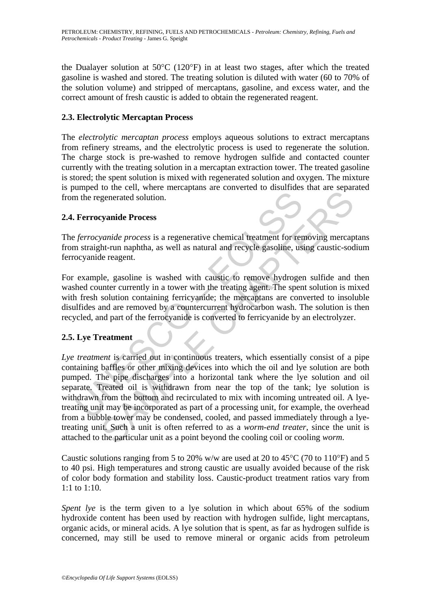the Dualayer solution at 50°C (120°F) in at least two stages, after which the treated gasoline is washed and stored. The treating solution is diluted with water (60 to 70% of the solution volume) and stripped of mercaptans, gasoline, and excess water, and the correct amount of fresh caustic is added to obtain the regenerated reagent.

## **2.3. Electrolytic Mercaptan Process**

The *electrolytic mercaptan process* employs aqueous solutions to extract mercaptans from refinery streams, and the electrolytic process is used to regenerate the solution. The charge stock is pre-washed to remove hydrogen sulfide and contacted counter currently with the treating solution in a mercaptan extraction tower. The treated gasoline is stored; the spent solution is mixed with regenerated solution and oxygen. The mixture is pumped to the cell, where mercaptans are converted to disulfides that are separated from the regenerated solution.

## **2.4. Ferrocyanide Process**

The *ferrocyanide process* is a regenerative chemical treatment for removing mercaptans from straight-run naphtha, as well as natural and recycle gasoline, using caustic-sodium ferrocyanide reagent.

For example, gasoline is washed with caustic to remove hydrogen sulfide and then washed counter currently in a tower with the treating agent. The spent solution is mixed with fresh solution containing ferricyanide; the mercaptans are converted to insoluble disulfides and are removed by a countercurrent hydrocarbon wash. The solution is then recycled, and part of the ferrocyanide is converted to ferricyanide by an electrolyzer.

## **2.5. Lye Treatment**

In the regenerated solution.<br> **Ferrocyanide Process**<br> *ferrocyanide process* is a regenerative chemical treatment for rerors in a rataight-run naphtha, as well as natural and recycle gasoline, us<br>
ocyanide reagent.<br>
exampl Somewheat and solution.<br>
Somewheat and solution.<br>
Somewheated solution.<br>
Somewheated solution.<br>
Somewheated solution.<br>
Somewheat and recycle gasoline, using caustic-sode<br>
reagent.<br>
Me, gasoline is washed with caustic to re *Lye treatment* is carried out in continuous treaters, which essentially consist of a pipe containing baffles or other mixing devices into which the oil and lye solution are both pumped. The pipe discharges into a horizontal tank where the lye solution and oil separate. Treated oil is withdrawn from near the top of the tank; lye solution is withdrawn from the bottom and recirculated to mix with incoming untreated oil. A lyetreating unit may be incorporated as part of a processing unit, for example, the overhead from a bubble tower may be condensed, cooled, and passed immediately through a lyetreating unit. Such a unit is often referred to as a *worm-end treater*, since the unit is attached to the particular unit as a point beyond the cooling coil or cooling *worm*.

Caustic solutions ranging from 5 to 20% w/w are used at 20 to 45 $\degree$ C (70 to 110 $\degree$ F) and 5 to 40 psi. High temperatures and strong caustic are usually avoided because of the risk of color body formation and stability loss. Caustic-product treatment ratios vary from 1:1 to 1:10.

*Spent lye* is the term given to a lye solution in which about 65% of the sodium hydroxide content has been used by reaction with hydrogen sulfide, light mercaptans, organic acids, or mineral acids. A lye solution that is spent, as far as hydrogen sulfide is concerned, may still be used to remove mineral or organic acids from petroleum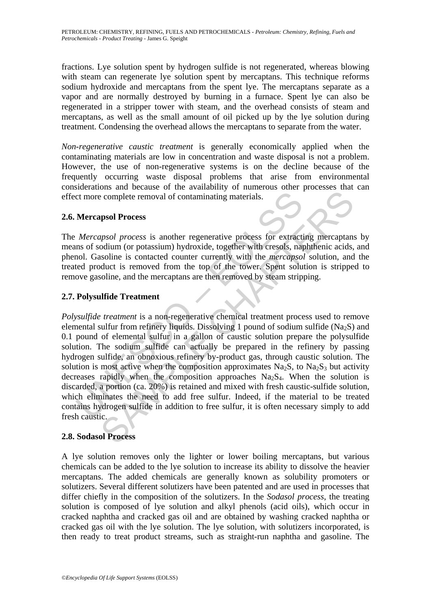fractions. Lye solution spent by hydrogen sulfide is not regenerated, whereas blowing with steam can regenerate lye solution spent by mercaptans. This technique reforms sodium hydroxide and mercaptans from the spent lye. The mercaptans separate as a vapor and are normally destroyed by burning in a furnace. Spent lye can also be regenerated in a stripper tower with steam, and the overhead consists of steam and mercaptans, as well as the small amount of oil picked up by the lye solution during treatment. Condensing the overhead allows the mercaptans to separate from the water.

*Non-regenerative caustic treatment* is generally economically applied when the contaminating materials are low in concentration and waste disposal is not a problem. However, the use of non-regenerative systems is on the decline because of the frequently occurring waste disposal problems that arise from environmental considerations and because of the availability of numerous other processes that can effect more complete removal of contaminating materials.

#### **2.6. Mercapsol Process**

The *Mercapsol process* is another regenerative process for extracting mercaptans by means of sodium (or potassium) hydroxide, together with cresols, naphthenic acids, and phenol. Gasoline is contacted counter currently with the *mercapsol* solution, and the treated product is removed from the top of the tower. Spent solution is stripped to remove gasoline, and the mercaptans are then removed by steam stripping.

#### **2.7. Polysulfide Treatment**

ct more complete removal of contaminating materials.<br> **Mercapsol Process**<br> *Mercapsol process* is another regenerative process for extractions of sodium (or potassium) hydroxide, together with cresols, najol. Gasoline is complete removal of contaminating materials.<br> **Example Complete Fermoval of contaminating materials.**<br> **Complete removal of contaminating materials.**<br> **Complete is contacted counter currently with the** *mercappsol* **solutio** *Polysulfide treatment* is a non-regenerative chemical treatment process used to remove elemental sulfur from refinery liquids. Dissolving 1 pound of sodium sulfide (Na<sub>2</sub>S) and 0.1 pound of elemental sulfur in a gallon of caustic solution prepare the polysulfide solution. The sodium sulfide can actually be prepared in the refinery by passing hydrogen sulfide, an obnoxious refinery by-product gas, through caustic solution. The solution is most active when the composition approximates  $Na<sub>2</sub>S$ , to  $Na<sub>2</sub>S<sub>3</sub>$  but activity decreases rapidly when the composition approaches  $Na<sub>2</sub>S<sub>4</sub>$ . When the solution is discarded, a portion (ca. 20%) is retained and mixed with fresh caustic-sulfide solution, which eliminates the need to add free sulfur. Indeed, if the material to be treated contains hydrogen sulfide in addition to free sulfur, it is often necessary simply to add fresh caustic.

#### **2.8. Sodasol Process**

A lye solution removes only the lighter or lower boiling mercaptans, but various chemicals can be added to the lye solution to increase its ability to dissolve the heavier mercaptans. The added chemicals are generally known as solubility promoters or solutizers. Several different solutizers have been patented and are used in processes that differ chiefly in the composition of the solutizers. In the *Sodasol process*, the treating solution is composed of lye solution and alkyl phenols (acid oils), which occur in cracked naphtha and cracked gas oil and are obtained by washing cracked naphtha or cracked gas oil with the lye solution. The lye solution, with solutizers incorporated, is then ready to treat product streams, such as straight-run naphtha and gasoline. The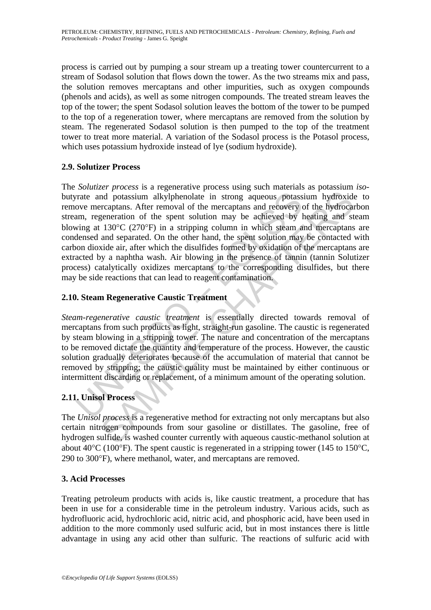process is carried out by pumping a sour stream up a treating tower countercurrent to a stream of Sodasol solution that flows down the tower. As the two streams mix and pass, the solution removes mercaptans and other impurities, such as oxygen compounds (phenols and acids), as well as some nitrogen compounds. The treated stream leaves the top of the tower; the spent Sodasol solution leaves the bottom of the tower to be pumped to the top of a regeneration tower, where mercaptans are removed from the solution by steam. The regenerated Sodasol solution is then pumped to the top of the treatment tower to treat more material. A variation of the Sodasol process is the Potasol process, which uses potassium hydroxide instead of lye (sodium hydroxide).

## **2.9. Solutizer Process**

Trate and potassium alkylphenolate in strong aqueous potass<br>ove mercaptans. After removal of the mercaptans and recovery or<br>am, regeneration of the spent solution may be achieved by 1<br>ving at 130°C (270°F) in a stripping and potassium alkylphenolate in strong aqueous potassium hydroxide<br>recaptans. After removal of the mercaptans and recovery of the hydrocar<br>peneration of the spent solution may be achieved by heating and strong<br>1.130°C (270 The *Solutizer process* is a regenerative process using such materials as potassium *iso*butyrate and potassium alkylphenolate in strong aqueous potassium hydroxide to remove mercaptans. After removal of the mercaptans and recovery of the hydrocarbon stream, regeneration of the spent solution may be achieved by heating and steam blowing at 130°C (270°F) in a stripping column in which steam and mercaptans are condensed and separated. On the other hand, the spent solution may be contacted with carbon dioxide air, after which the disulfides formed by oxidation of the mercaptans are extracted by a naphtha wash. Air blowing in the presence of tannin (tannin Solutizer process) catalytically oxidizes mercaptans to the corresponding disulfides, but there may be side reactions that can lead to reagent contamination.

## **2.10. Steam Regenerative Caustic Treatment**

*Steam-regenerative caustic treatment* is essentially directed towards removal of mercaptans from such products as light, straight-run gasoline. The caustic is regenerated by steam blowing in a stripping tower. The nature and concentration of the mercaptans to be removed dictate the quantity and temperature of the process. However, the caustic solution gradually deteriorates because of the accumulation of material that cannot be removed by stripping; the caustic quality must be maintained by either continuous or intermittent discarding or replacement, of a minimum amount of the operating solution.

## **2.11. Unisol Process**

The *Unisol process* is a regenerative method for extracting not only mercaptans but also certain nitrogen compounds from sour gasoline or distillates. The gasoline, free of hydrogen sulfide, is washed counter currently with aqueous caustic-methanol solution at about 40 $\rm{°C}$  (100 $\rm{°F}$ ). The spent caustic is regenerated in a stripping tower (145 to 150 $\rm{°C}$ , 290 to 300°F), where methanol, water, and mercaptans are removed.

## **3. Acid Processes**

Treating petroleum products with acids is, like caustic treatment, a procedure that has been in use for a considerable time in the petroleum industry. Various acids, such as hydrofluoric acid, hydrochloric acid, nitric acid, and phosphoric acid, have been used in addition to the more commonly used sulfuric acid, but in most instances there is little advantage in using any acid other than sulfuric. The reactions of sulfuric acid with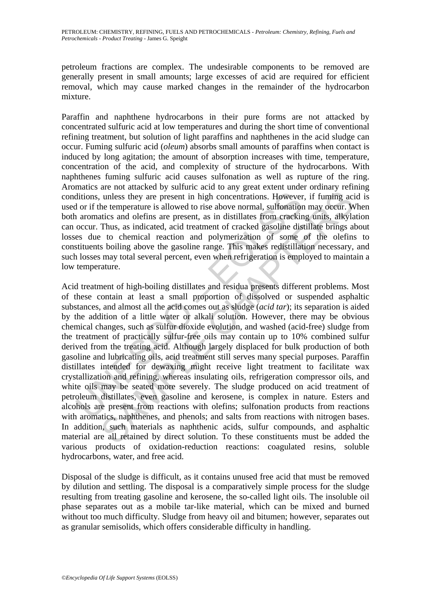petroleum fractions are complex. The undesirable components to be removed are generally present in small amounts; large excesses of acid are required for efficient removal, which may cause marked changes in the remainder of the hydrocarbon mixture.

Paraffin and naphthene hydrocarbons in their pure forms are not attacked by concentrated sulfuric acid at low temperatures and during the short time of conventional refining treatment, but solution of light paraffins and naphthenes in the acid sludge can occur. Fuming sulfuric acid (*oleum*) absorbs small amounts of paraffins when contact is induced by long agitation; the amount of absorption increases with time, temperature, concentration of the acid, and complexity of structure of the hydrocarbons. With naphthenes fuming sulfuric acid causes sulfonation as well as rupture of the ring. Aromatics are not attacked by sulfuric acid to any great extent under ordinary refining conditions, unless they are present in high concentrations. However, if fuming acid is used or if the temperature is allowed to rise above normal, sulfonation may occur. When both aromatics and olefins are present, as in distillates from cracking units, alkylation can occur. Thus, as indicated, acid treatment of cracked gasoline distillate brings about losses due to chemical reaction and polymerization of some of the olefins to constituents boiling above the gasoline range. This makes redistillation necessary, and such losses may total several percent, even when refrigeration is employed to maintain a low temperature.

ditions, unless they are present in high concentrations. However<br>I or if the temperature is allowed to rise above normal, sulfonation<br>aromatics and olefins are present, as in distillates from craekin<br>occur. Thus, as indic unless they are present in high concentrations. However, if fuming aci<br>he temperature is allowed to rise above normal, sufforation may oceur. We<br>tutiss and olefins are present, as in distillates from cracking units, alt<br>ky Acid treatment of high-boiling distillates and residua presents different problems. Most of these contain at least a small proportion of dissolved or suspended asphaltic substances, and almost all the acid comes out as sludge (*acid tar*); its separation is aided by the addition of a little water or alkali solution. However, there may be obvious chemical changes, such as sulfur dioxide evolution, and washed (acid-free) sludge from the treatment of practically sulfur-free oils may contain up to 10% combined sulfur derived from the treating acid. Although largely displaced for bulk production of both gasoline and lubricating oils, acid treatment still serves many special purposes. Paraffin distillates intended for dewaxing might receive light treatment to facilitate wax crystallization and refining, whereas insulating oils, refrigeration compressor oils, and white oils may be seated more severely. The sludge produced on acid treatment of petroleum distillates, even gasoline and kerosene, is complex in nature. Esters and alcohols are present from reactions with olefins; sulfonation products from reactions with aromatics, naphthenes, and phenols; and salts from reactions with nitrogen bases. In addition, such materials as naphthenic acids, sulfur compounds, and asphaltic material are all retained by direct solution. To these constituents must be added the various products of oxidation-reduction reactions: coagulated resins, soluble hydrocarbons, water, and free acid.

Disposal of the sludge is difficult, as it contains unused free acid that must be removed by dilution and settling. The disposal is a comparatively simple process for the sludge resulting from treating gasoline and kerosene, the so-called light oils. The insoluble oil phase separates out as a mobile tar-like material, which can be mixed and burned without too much difficulty. Sludge from heavy oil and bitumen; however, separates out as granular semisolids, which offers considerable difficulty in handling.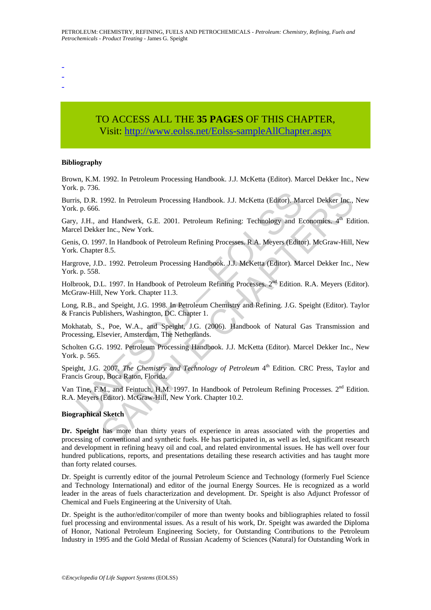- -

-

TO ACCESS ALL THE **35 PAGES** OF THIS CHAPTER, Visi[t: http://www.eolss.net/Eolss-sampleAllChapter.aspx](https://www.eolss.net/ebooklib/sc_cart.aspx?File=E6-186-03)

#### **Bibliography**

Brown, K.M. 1992. In Petroleum Processing Handbook. J.J. McKetta (Editor). Marcel Dekker Inc., New York. p. 736.

is, D.R. 1992. In Petroleum Processing Handbook. J.J. McKetta (Editor). Ma<br>
i. p. 666.<br>
1. J.H., and Handwerk, G.E. 2001. Petroleum Refining: Technology and E.<br>
etl Dekker Inc., New York.<br>
s, O. 1997. In Handbook of Petrol Burris, D.R. 1992. In Petroleum Processing Handbook. J.J. McKetta (Editor). Marcel Dekker Inc., New York. p. 666.

Gary, J.H., and Handwerk, G.E. 2001. Petroleum Refining: Technology and Economics. 4th Edition. Marcel Dekker Inc., New York.

Genis, O. 1997. In Handbook of Petroleum Refining Processes. R.A. Meyers (Editor). McGraw-Hill, New York. Chapter 8.5.

Hargrove, J.D.. 1992. Petroleum Processing Handbook. J.J. McKetta (Editor). Marcel Dekker Inc., New York. p. 558.

Holbrook, D.L. 1997. In Handbook of Petroleum Refining Processes. 2<sup>nd</sup> Edition. R.A. Meyers (Editor). McGraw-Hill, New York. Chapter 11.3.

Long, R.B., and Speight, J.G. 1998. In Petroleum Chemistry and Refining. J.G. Speight (Editor). Taylor & Francis Publishers, Washington, DC. Chapter 1.

Mokhatab, S., Poe, W.A., and Speight, J.G. (2006). Handbook of Natural Gas Transmission and Processing, Elsevier, Amsterdam, The Netherlands.

Scholten G.G. 1992. Petroleum Processing Handbook. J.J. McKetta (Editor). Marcel Dekker Inc., New York. p. 565.

Speight, J.G. 2007. *The Chemistry and Technology of Petroleum* 4<sup>th</sup> Edition. CRC Press, Taylor and Francis Group, Boca Raton, Florida.

Van Tine, F.M., and Feintuch, H.M. 1997. In Handbook of Petroleum Refining Processes. 2<sup>nd</sup> Edition. R.A. Meyers (Editor). McGraw-Hill, New York. Chapter 10.2.

#### **Biographical Sketch**

1992. In Petroleum Processing Handbook. J.J. McKetta (Editor). Marcel Dekker Ine.,<br>
and Handwerk, G.E. 2001. Petroleum Refining: Technology and Economics. 4<sup>th</sup> Ed<br>
77. In Handbook of Petroleum Refining Processes. R.A. Mey **Dr. Speight** has more than thirty years of experience in areas associated with the properties and processing of conventional and synthetic fuels. He has participated in, as well as led, significant research and development in refining heavy oil and coal, and related environmental issues. He has well over four hundred publications, reports, and presentations detailing these research activities and has taught more than forty related courses.

Dr. Speight is currently editor of the journal Petroleum Science and Technology (formerly Fuel Science and Technology International) and editor of the journal Energy Sources. He is recognized as a world leader in the areas of fuels characterization and development. Dr. Speight is also Adjunct Professor of Chemical and Fuels Engineering at the University of Utah.

Dr. Speight is the author/editor/compiler of more than twenty books and bibliographies related to fossil fuel processing and environmental issues. As a result of his work, Dr. Speight was awarded the Diploma of Honor, National Petroleum Engineering Society, for Outstanding Contributions to the Petroleum Industry in 1995 and the Gold Medal of Russian Academy of Sciences (Natural) for Outstanding Work in